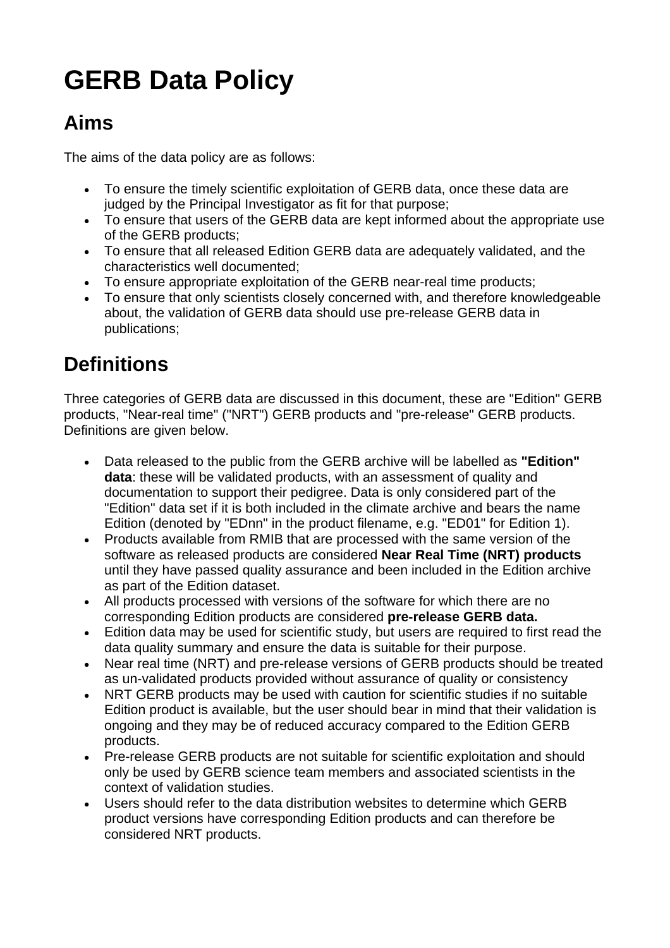# **GERB Data Policy**

#### **Aims**

The aims of the data policy are as follows:

- To ensure the timely scientific exploitation of GERB data, once these data are judged by the Principal Investigator as fit for that purpose;
- To ensure that users of the GERB data are kept informed about the appropriate use of the GERB products;
- To ensure that all released Edition GERB data are adequately validated, and the characteristics well documented;
- To ensure appropriate exploitation of the GERB near-real time products;
- To ensure that only scientists closely concerned with, and therefore knowledgeable about, the validation of GERB data should use pre-release GERB data in publications;

## **Definitions**

Three categories of GERB data are discussed in this document, these are "Edition" GERB products, "Near-real time" ("NRT") GERB products and "pre-release" GERB products. Definitions are given below.

- Data released to the public from the GERB archive will be labelled as **"Edition" data**: these will be validated products, with an assessment of quality and documentation to support their pedigree. Data is only considered part of the "Edition" data set if it is both included in the climate archive and bears the name Edition (denoted by "EDnn" in the product filename, e.g. "ED01" for Edition 1).
- Products available from RMIB that are processed with the same version of the software as released products are considered **Near Real Time (NRT) products** until they have passed quality assurance and been included in the Edition archive as part of the Edition dataset.
- All products processed with versions of the software for which there are no corresponding Edition products are considered **pre-release GERB data.**
- Edition data may be used for scientific study, but users are required to first read the data quality summary and ensure the data is suitable for their purpose.
- Near real time (NRT) and pre-release versions of GERB products should be treated as un-validated products provided without assurance of quality or consistency
- NRT GERB products may be used with caution for scientific studies if no suitable Edition product is available, but the user should bear in mind that their validation is ongoing and they may be of reduced accuracy compared to the Edition GERB products.
- Pre-release GERB products are not suitable for scientific exploitation and should only be used by GERB science team members and associated scientists in the context of validation studies.
- Users should refer to the data distribution websites to determine which GERB product versions have corresponding Edition products and can therefore be considered NRT products.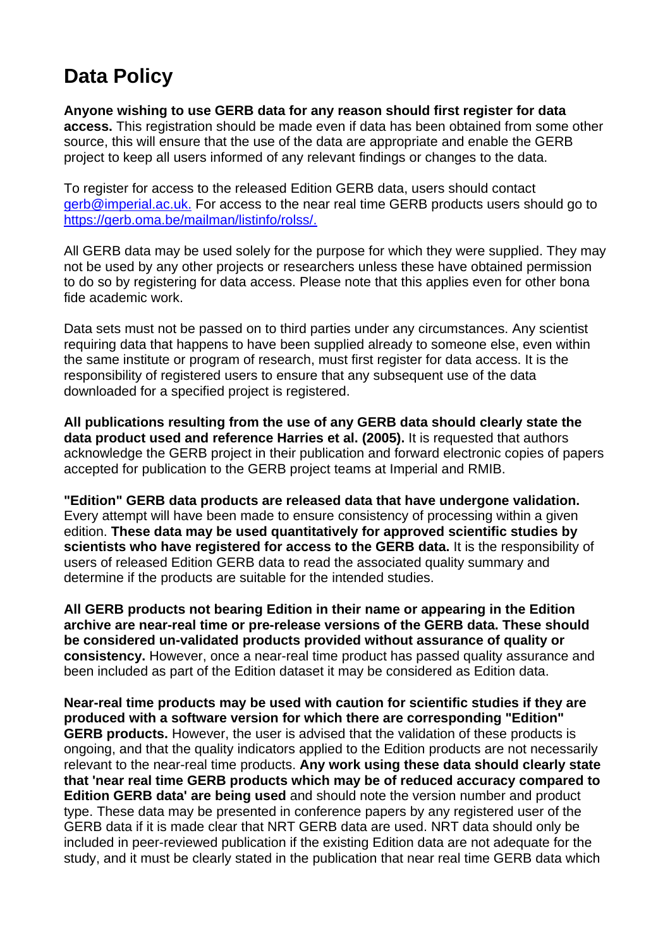### **Data Policy**

**Anyone wishing to use GERB data for any reason should first register for data access.** This registration should be made even if data has been obtained from some other source, this will ensure that the use of the data are appropriate and enable the GERB project to keep all users informed of any relevant findings or changes to the data.

To register for access to the released Edition GERB data, users should contact gerb@imperial.ac.uk. For access to the near real time GERB products users should go to https://gerb.oma.be/mailman/listinfo/rolss/.

All GERB data may be used solely for the purpose for which they were supplied. They may not be used by any other projects or researchers unless these have obtained permission to do so by registering for data access. Please note that this applies even for other bona fide academic work.

Data sets must not be passed on to third parties under any circumstances. Any scientist requiring data that happens to have been supplied already to someone else, even within the same institute or program of research, must first register for data access. It is the responsibility of registered users to ensure that any subsequent use of the data downloaded for a specified project is registered.

**All publications resulting from the use of any GERB data should clearly state the data product used and reference Harries et al. (2005).** It is requested that authors acknowledge the GERB project in their publication and forward electronic copies of papers accepted for publication to the GERB project teams at Imperial and RMIB.

**"Edition" GERB data products are released data that have undergone validation.** Every attempt will have been made to ensure consistency of processing within a given edition. **These data may be used quantitatively for approved scientific studies by scientists who have registered for access to the GERB data.** It is the responsibility of users of released Edition GERB data to read the associated quality summary and determine if the products are suitable for the intended studies.

**All GERB products not bearing Edition in their name or appearing in the Edition archive are near-real time or pre-release versions of the GERB data. These should be considered un-validated products provided without assurance of quality or consistency.** However, once a near-real time product has passed quality assurance and been included as part of the Edition dataset it may be considered as Edition data.

**Near-real time products may be used with caution for scientific studies if they are produced with a software version for which there are corresponding "Edition" GERB products.** However, the user is advised that the validation of these products is ongoing, and that the quality indicators applied to the Edition products are not necessarily relevant to the near-real time products. **Any work using these data should clearly state that 'near real time GERB products which may be of reduced accuracy compared to Edition GERB data' are being used** and should note the version number and product type. These data may be presented in conference papers by any registered user of the GERB data if it is made clear that NRT GERB data are used. NRT data should only be included in peer-reviewed publication if the existing Edition data are not adequate for the study, and it must be clearly stated in the publication that near real time GERB data which